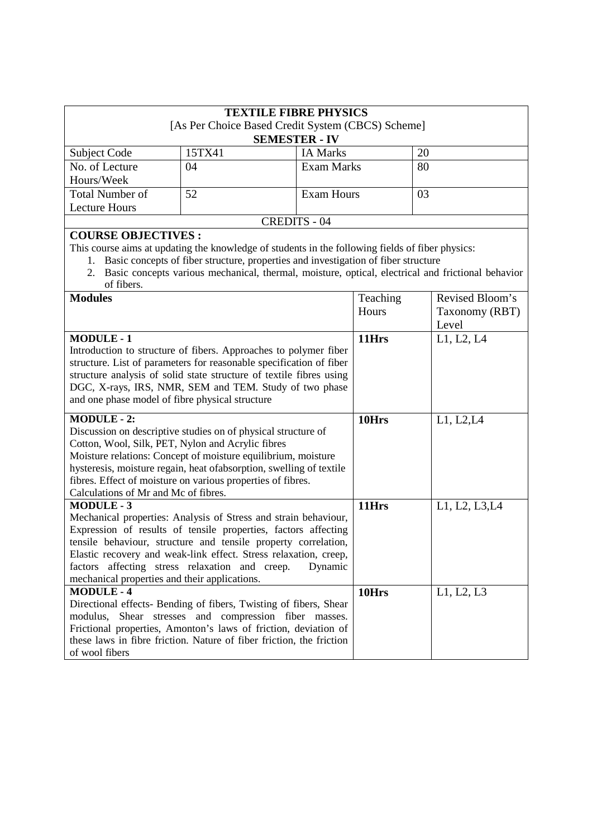| <b>TEXTILE FIBRE PHYSICS</b>                                                                                                                                                                                                                                                                                                                                                                             |                                                                                                                                                                                                                                                                                                   |                      |                |                 |
|----------------------------------------------------------------------------------------------------------------------------------------------------------------------------------------------------------------------------------------------------------------------------------------------------------------------------------------------------------------------------------------------------------|---------------------------------------------------------------------------------------------------------------------------------------------------------------------------------------------------------------------------------------------------------------------------------------------------|----------------------|----------------|-----------------|
| [As Per Choice Based Credit System (CBCS) Scheme]                                                                                                                                                                                                                                                                                                                                                        |                                                                                                                                                                                                                                                                                                   |                      |                |                 |
|                                                                                                                                                                                                                                                                                                                                                                                                          |                                                                                                                                                                                                                                                                                                   | <b>SEMESTER - IV</b> |                |                 |
| Subject Code                                                                                                                                                                                                                                                                                                                                                                                             | 15TX41                                                                                                                                                                                                                                                                                            | <b>IA Marks</b>      |                | 20              |
| No. of Lecture                                                                                                                                                                                                                                                                                                                                                                                           | 04                                                                                                                                                                                                                                                                                                | <b>Exam Marks</b>    |                | 80              |
| Hours/Week                                                                                                                                                                                                                                                                                                                                                                                               |                                                                                                                                                                                                                                                                                                   |                      |                |                 |
| <b>Total Number of</b>                                                                                                                                                                                                                                                                                                                                                                                   | 52                                                                                                                                                                                                                                                                                                | <b>Exam Hours</b>    |                | 03              |
| <b>Lecture Hours</b>                                                                                                                                                                                                                                                                                                                                                                                     |                                                                                                                                                                                                                                                                                                   |                      |                |                 |
|                                                                                                                                                                                                                                                                                                                                                                                                          |                                                                                                                                                                                                                                                                                                   | <b>CREDITS - 04</b>  |                |                 |
| <b>COURSE OBJECTIVES:</b><br>of fibers.                                                                                                                                                                                                                                                                                                                                                                  | This course aims at updating the knowledge of students in the following fields of fiber physics:<br>1. Basic concepts of fiber structure, properties and investigation of fiber structure<br>2. Basic concepts various mechanical, thermal, moisture, optical, electrical and frictional behavior |                      |                |                 |
| <b>Modules</b>                                                                                                                                                                                                                                                                                                                                                                                           |                                                                                                                                                                                                                                                                                                   |                      | Teaching       | Revised Bloom's |
|                                                                                                                                                                                                                                                                                                                                                                                                          |                                                                                                                                                                                                                                                                                                   |                      | Hours          | Taxonomy (RBT)  |
|                                                                                                                                                                                                                                                                                                                                                                                                          |                                                                                                                                                                                                                                                                                                   |                      |                | Level           |
| <b>MODULE-1</b><br>Introduction to structure of fibers. Approaches to polymer fiber<br>structure. List of parameters for reasonable specification of fiber<br>structure analysis of solid state structure of textile fibres using<br>DGC, X-rays, IRS, NMR, SEM and TEM. Study of two phase<br>and one phase model of fibre physical structure                                                           |                                                                                                                                                                                                                                                                                                   | 11Hrs                | L1, L2, L4     |                 |
| <b>MODULE - 2:</b><br>Discussion on descriptive studies on of physical structure of<br>Cotton, Wool, Silk, PET, Nylon and Acrylic fibres<br>Moisture relations: Concept of moisture equilibrium, moisture<br>hysteresis, moisture regain, heat of absorption, swelling of textile<br>fibres. Effect of moisture on various properties of fibres.<br>Calculations of Mr and Mc of fibres.                 |                                                                                                                                                                                                                                                                                                   | 10Hrs                | L1, L2, L4     |                 |
| <b>MODULE-3</b><br>Mechanical properties: Analysis of Stress and strain behaviour,<br>Expression of results of tensile properties, factors affecting<br>tensile behaviour, structure and tensile property correlation,<br>Elastic recovery and weak-link effect. Stress relaxation, creep,<br>factors affecting stress relaxation and creep.<br>Dynamic<br>mechanical properties and their applications. |                                                                                                                                                                                                                                                                                                   | 11Hrs                | L1, L2, L3, L4 |                 |
| <b>MODULE-4</b><br>Directional effects- Bending of fibers, Twisting of fibers, Shear<br>modulus, Shear stresses and compression fiber masses.<br>Frictional properties, Amonton's laws of friction, deviation of<br>these laws in fibre friction. Nature of fiber friction, the friction<br>of wool fibers                                                                                               |                                                                                                                                                                                                                                                                                                   | 10Hrs                | L1, L2, L3     |                 |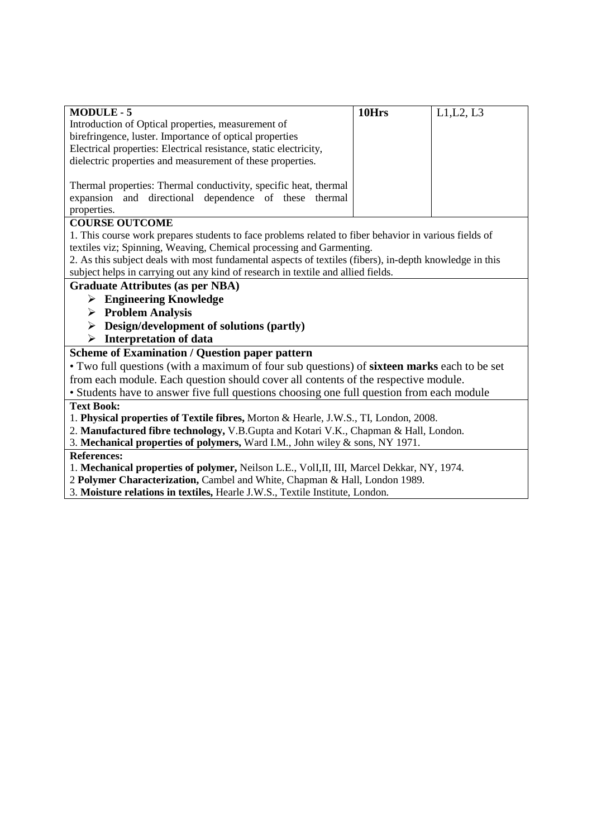| <b>MODULE-5</b>                                                                                         | 10Hrs | L1, L2, L3 |
|---------------------------------------------------------------------------------------------------------|-------|------------|
| Introduction of Optical properties, measurement of                                                      |       |            |
| birefringence, luster. Importance of optical properties                                                 |       |            |
| Electrical properties: Electrical resistance, static electricity,                                       |       |            |
| dielectric properties and measurement of these properties.                                              |       |            |
|                                                                                                         |       |            |
| Thermal properties: Thermal conductivity, specific heat, thermal                                        |       |            |
| expansion and directional dependence of these thermal                                                   |       |            |
| properties.                                                                                             |       |            |
| <b>COURSE OUTCOME</b>                                                                                   |       |            |
| 1. This course work prepares students to face problems related to fiber behavior in various fields of   |       |            |
| textiles viz; Spinning, Weaving, Chemical processing and Garmenting.                                    |       |            |
| 2. As this subject deals with most fundamental aspects of textiles (fibers), in-depth knowledge in this |       |            |
| subject helps in carrying out any kind of research in textile and allied fields.                        |       |            |
| <b>Graduate Attributes (as per NBA)</b>                                                                 |       |            |
| $\triangleright$ Engineering Knowledge                                                                  |       |            |
| $\triangleright$ Problem Analysis                                                                       |       |            |
| Design/development of solutions (partly)<br>➤                                                           |       |            |
| <b>Interpretation of data</b><br>➤                                                                      |       |            |
| <b>Scheme of Examination / Question paper pattern</b>                                                   |       |            |
| • Two full questions (with a maximum of four sub questions) of <b>sixteen marks</b> each to be set      |       |            |
| from each module. Each question should cover all contents of the respective module.                     |       |            |
| • Students have to answer five full questions choosing one full question from each module               |       |            |
| <b>Text Book:</b>                                                                                       |       |            |
| 1. Physical properties of Textile fibres, Morton & Hearle, J.W.S., TI, London, 2008.                    |       |            |
| 2. Manufactured fibre technology, V.B.Gupta and Kotari V.K., Chapman & Hall, London.                    |       |            |
| 3. Mechanical properties of polymers, Ward I.M., John wiley & sons, NY 1971.                            |       |            |
| <b>References:</b>                                                                                      |       |            |
| 1. Mechanical properties of polymer, Neilson L.E., VolI,II, III, Marcel Dekkar, NY, 1974.               |       |            |
| 2 Polymer Characterization, Cambel and White, Chapman & Hall, London 1989.                              |       |            |

 $\overline{\phantom{a}}$ 

3. **Moisture relations in textiles,** Hearle J.W.S., Textile Institute, London.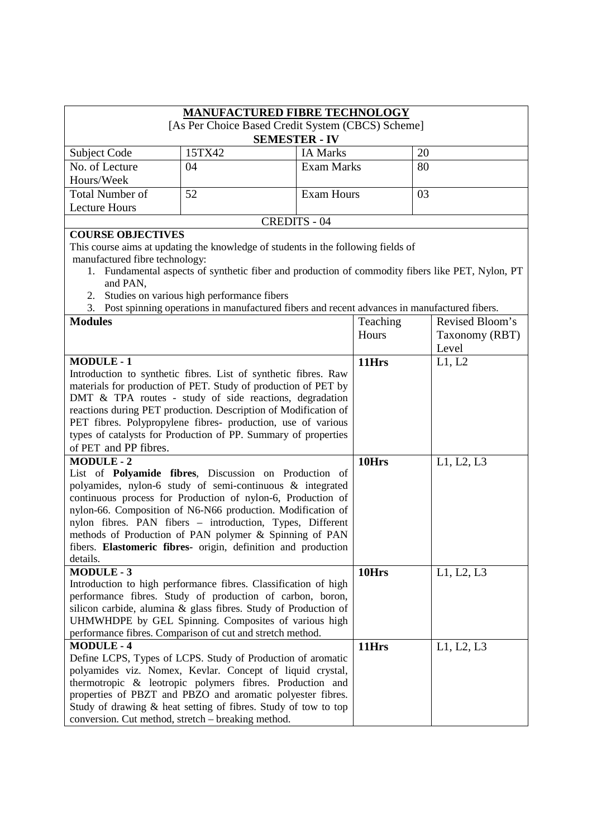|                                                                                                                                   |                                            | <b>MANUFACTURED FIBRE TECHNOLOGY</b> |          |                                                                                               |
|-----------------------------------------------------------------------------------------------------------------------------------|--------------------------------------------|--------------------------------------|----------|-----------------------------------------------------------------------------------------------|
| [As Per Choice Based Credit System (CBCS) Scheme]                                                                                 |                                            |                                      |          |                                                                                               |
|                                                                                                                                   |                                            | <b>SEMESTER - IV</b>                 |          |                                                                                               |
| Subject Code                                                                                                                      | 15TX42                                     | <b>IA Marks</b>                      |          | 20                                                                                            |
| No. of Lecture                                                                                                                    | 04                                         | <b>Exam Marks</b>                    |          | 80                                                                                            |
| Hours/Week                                                                                                                        |                                            |                                      |          |                                                                                               |
| <b>Total Number of</b>                                                                                                            | 52                                         | <b>Exam Hours</b>                    |          | 03                                                                                            |
| <b>Lecture Hours</b>                                                                                                              |                                            |                                      |          |                                                                                               |
|                                                                                                                                   |                                            | <b>CREDITS - 04</b>                  |          |                                                                                               |
| <b>COURSE OBJECTIVES</b>                                                                                                          |                                            |                                      |          |                                                                                               |
| This course aims at updating the knowledge of students in the following fields of                                                 |                                            |                                      |          |                                                                                               |
| manufactured fibre technology:                                                                                                    |                                            |                                      |          |                                                                                               |
| 1.                                                                                                                                |                                            |                                      |          | Fundamental aspects of synthetic fiber and production of commodity fibers like PET, Nylon, PT |
| and PAN,                                                                                                                          |                                            |                                      |          |                                                                                               |
| 2.                                                                                                                                | Studies on various high performance fibers |                                      |          |                                                                                               |
| 3. Post spinning operations in manufactured fibers and recent advances in manufactured fibers.                                    |                                            |                                      |          |                                                                                               |
| <b>Modules</b>                                                                                                                    |                                            |                                      | Teaching | Revised Bloom's                                                                               |
|                                                                                                                                   |                                            |                                      | Hours    | Taxonomy (RBT)                                                                                |
|                                                                                                                                   |                                            |                                      |          | Level                                                                                         |
| <b>MODULE-1</b>                                                                                                                   |                                            |                                      | 11Hrs    | L1, L2                                                                                        |
| Introduction to synthetic fibres. List of synthetic fibres. Raw<br>materials for production of PET. Study of production of PET by |                                            |                                      |          |                                                                                               |
| DMT & TPA routes - study of side reactions, degradation                                                                           |                                            |                                      |          |                                                                                               |
| reactions during PET production. Description of Modification of                                                                   |                                            |                                      |          |                                                                                               |
| PET fibres. Polypropylene fibres- production, use of various                                                                      |                                            |                                      |          |                                                                                               |
| types of catalysts for Production of PP. Summary of properties                                                                    |                                            |                                      |          |                                                                                               |
| of PET and PP fibres.                                                                                                             |                                            |                                      |          |                                                                                               |
| <b>MODULE-2</b>                                                                                                                   |                                            |                                      | 10Hrs    | L1, L2, L3                                                                                    |
| List of Polyamide fibres, Discussion on Production of                                                                             |                                            |                                      |          |                                                                                               |
| polyamides, nylon-6 study of semi-continuous & integrated                                                                         |                                            |                                      |          |                                                                                               |
| continuous process for Production of nylon-6, Production of                                                                       |                                            |                                      |          |                                                                                               |
| nylon-66. Composition of N6-N66 production. Modification of                                                                       |                                            |                                      |          |                                                                                               |
| nylon fibres. PAN fibers - introduction, Types, Different                                                                         |                                            |                                      |          |                                                                                               |
| methods of Production of PAN polymer & Spinning of PAN                                                                            |                                            |                                      |          |                                                                                               |
| fibers. Elastomeric fibres- origin, definition and production                                                                     |                                            |                                      |          |                                                                                               |
| details.                                                                                                                          |                                            |                                      |          |                                                                                               |
| <b>MODULE-3</b>                                                                                                                   |                                            |                                      | 10Hrs    | L1, L2, L3                                                                                    |
| Introduction to high performance fibres. Classification of high                                                                   |                                            |                                      |          |                                                                                               |
| performance fibres. Study of production of carbon, boron,<br>silicon carbide, alumina & glass fibres. Study of Production of      |                                            |                                      |          |                                                                                               |
| UHMWHDPE by GEL Spinning. Composites of various high                                                                              |                                            |                                      |          |                                                                                               |
| performance fibres. Comparison of cut and stretch method.                                                                         |                                            |                                      |          |                                                                                               |
| <b>MODULE-4</b>                                                                                                                   |                                            |                                      | 11Hrs    | L1, L2, L3                                                                                    |
| Define LCPS, Types of LCPS. Study of Production of aromatic                                                                       |                                            |                                      |          |                                                                                               |
| polyamides viz. Nomex, Kevlar. Concept of liquid crystal,                                                                         |                                            |                                      |          |                                                                                               |
| thermotropic & leotropic polymers fibres. Production and                                                                          |                                            |                                      |          |                                                                                               |
| properties of PBZT and PBZO and aromatic polyester fibres.                                                                        |                                            |                                      |          |                                                                                               |
| Study of drawing & heat setting of fibres. Study of tow to top                                                                    |                                            |                                      |          |                                                                                               |
| conversion. Cut method, stretch – breaking method.                                                                                |                                            |                                      |          |                                                                                               |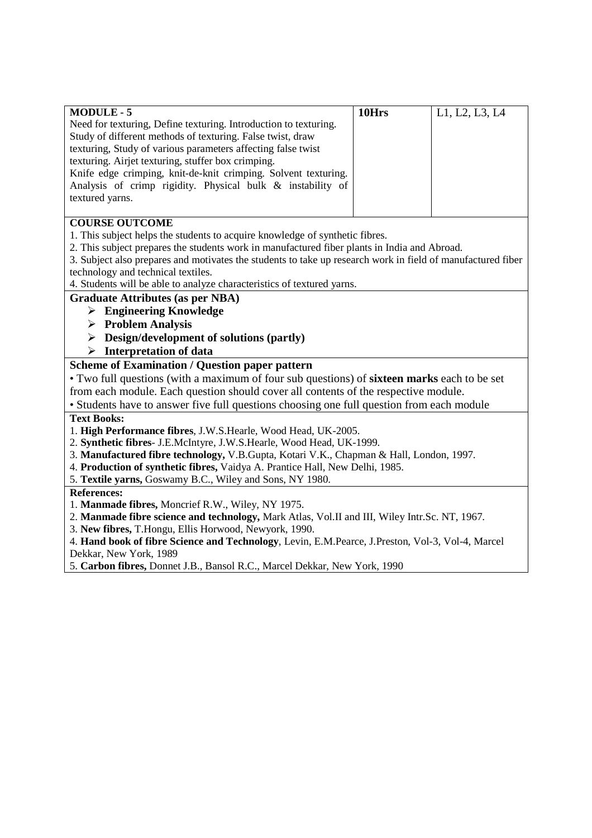| <b>MODULE - 5</b>                                                                                                                                   | 10Hrs | L1, L2, L3, L4 |
|-----------------------------------------------------------------------------------------------------------------------------------------------------|-------|----------------|
| Need for texturing, Define texturing. Introduction to texturing.                                                                                    |       |                |
| Study of different methods of texturing. False twist, draw                                                                                          |       |                |
| texturing, Study of various parameters affecting false twist                                                                                        |       |                |
| texturing. Airjet texturing, stuffer box crimping.                                                                                                  |       |                |
| Knife edge crimping, knit-de-knit crimping. Solvent texturing.                                                                                      |       |                |
| Analysis of crimp rigidity. Physical bulk & instability of                                                                                          |       |                |
| textured yarns.                                                                                                                                     |       |                |
|                                                                                                                                                     |       |                |
| <b>COURSE OUTCOME</b>                                                                                                                               |       |                |
| $\overline{a}$ and $\overline{b}$ and $\overline{a}$ and $\overline{a}$ and $\overline{a}$ and $\overline{a}$ and $\overline{a}$ and $\overline{a}$ |       |                |

1. This subject helps the students to acquire knowledge of synthetic fibres.

2. This subject prepares the students work in manufactured fiber plants in India and Abroad.

3. Subject also prepares and motivates the students to take up research work in field of manufactured fiber technology and technical textiles.

4. Students will be able to analyze characteristics of textured yarns.

#### **Graduate Attributes (as per NBA)**

- **Engineering Knowledge**
- **Problem Analysis**
- **Design/development of solutions (partly)**
- **Interpretation of data**

### **Scheme of Examination / Question paper pattern**

• Two full questions (with a maximum of four sub questions) of **sixteen marks** each to be set from each module. Each question should cover all contents of the respective module.

• Students have to answer five full questions choosing one full question from each module

#### **Text Books:**

1. **High Performance fibres**, J.W.S.Hearle, Wood Head, UK-2005.

- 2. **Synthetic fibres** J.E.McIntyre, J.W.S.Hearle, Wood Head, UK-1999.
- 3. **Manufactured fibre technology,** V.B.Gupta, Kotari V.K., Chapman & Hall, London, 1997.
- 4. **Production of synthetic fibres,** Vaidya A. Prantice Hall, New Delhi, 1985.
- 5. **Textile yarns,** Goswamy B.C., Wiley and Sons, NY 1980.

#### **References:**

1. **Manmade fibres,** Moncrief R.W., Wiley, NY 1975.

- 2. **Manmade fibre science and technology,** Mark Atlas, Vol.II and III, Wiley Intr.Sc. NT, 1967.
- 3. **New fibres,** T.Hongu, Ellis Horwood, Newyork, 1990.

4. **Hand book of fibre Science and Technology**, Levin, E.M.Pearce, J.Preston, Vol-3, Vol-4, Marcel Dekkar, New York, 1989

5. **Carbon fibres,** Donnet J.B., Bansol R.C., Marcel Dekkar, New York, 1990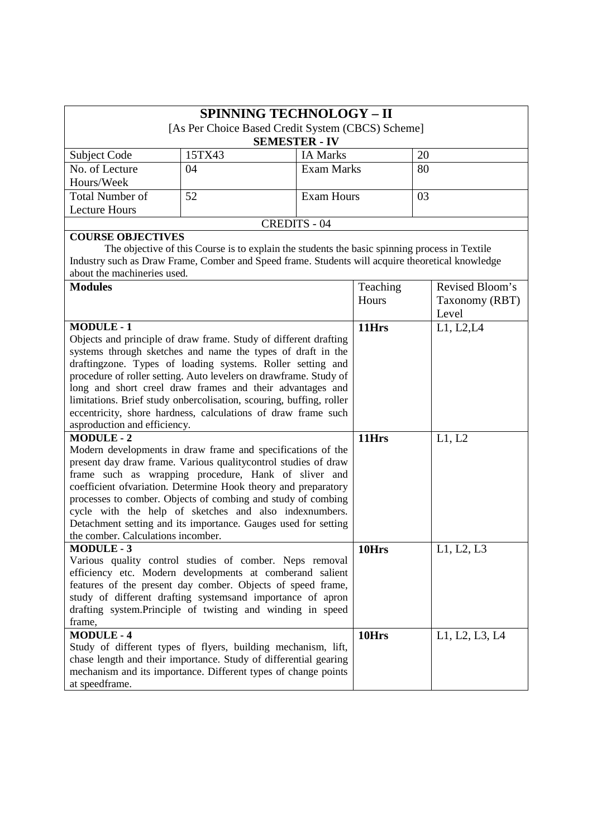| <b>SPINNING TECHNOLOGY - II</b><br>[As Per Choice Based Credit System (CBCS) Scheme]<br><b>SEMESTER - IV</b> |        |                   |    |  |  |
|--------------------------------------------------------------------------------------------------------------|--------|-------------------|----|--|--|
| Subject Code                                                                                                 | 15TX43 | <b>IA Marks</b>   | 20 |  |  |
| No. of Lecture<br>Hours/Week                                                                                 | 04     | <b>Exam Marks</b> | 80 |  |  |
| <b>Total Number of</b>                                                                                       | 52     | Exam Hours        | 03 |  |  |
| <b>Lecture Hours</b>                                                                                         |        |                   |    |  |  |
| CREDITS - 04                                                                                                 |        |                   |    |  |  |

## **COURSE OBJECTIVES**

The objective of this Course is to explain the students the basic spinning process in Textile Industry such as Draw Frame, Comber and Speed frame. Students will acquire theoretical knowledge about the machineries used.

| Hours<br>Taxonomy (RBT)<br>Level                                                         |
|------------------------------------------------------------------------------------------|
|                                                                                          |
|                                                                                          |
| <b>MODULE-1</b><br>L1, L2, L4<br>11Hrs                                                   |
| Objects and principle of draw frame. Study of different drafting                         |
| systems through sketches and name the types of draft in the                              |
| draftingzone. Types of loading systems. Roller setting and                               |
| procedure of roller setting. Auto levelers on drawframe. Study of                        |
| long and short creel draw frames and their advantages and                                |
| limitations. Brief study onbercolisation, scouring, buffing, roller                      |
| eccentricity, shore hardness, calculations of draw frame such                            |
| asproduction and efficiency.                                                             |
| <b>MODULE-2</b><br>L1, L2<br>11Hrs                                                       |
| Modern developments in draw frame and specifications of the                              |
| present day draw frame. Various quality control studies of draw                          |
| frame such as wrapping procedure, Hank of sliver and                                     |
| coefficient ofvariation. Determine Hook theory and preparatory                           |
| processes to comber. Objects of combing and study of combing                             |
| cycle with the help of sketches and also indexnumbers.                                   |
| Detachment setting and its importance. Gauges used for setting                           |
| the comber. Calculations incomber.                                                       |
| <b>MODULE-3</b><br>10Hrs<br>L1, L2, L3                                                   |
| Various quality control studies of comber. Neps removal                                  |
| efficiency etc. Modern developments at comberand salient                                 |
| features of the present day comber. Objects of speed frame,                              |
| study of different drafting systems and importance of apron                              |
| drafting system. Principle of twisting and winding in speed<br>frame,                    |
| <b>MODULE-4</b>                                                                          |
| 10Hrs<br>L1, L2, L3, L4<br>Study of different types of flyers, building mechanism, lift, |
| chase length and their importance. Study of differential gearing                         |
| mechanism and its importance. Different types of change points                           |
| at speedframe.                                                                           |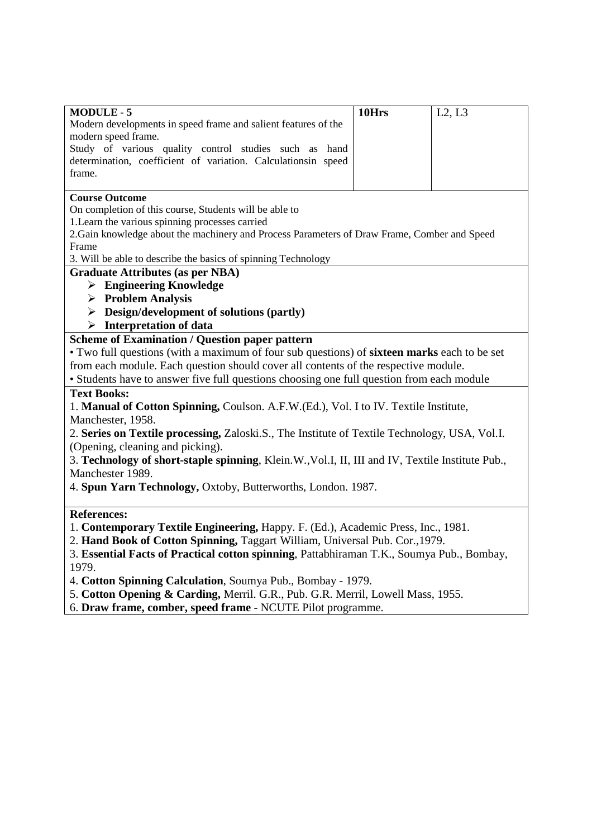| <b>MODULE-5</b><br>Modern developments in speed frame and salient features of the                                      | 10Hrs | L2, L3 |  |
|------------------------------------------------------------------------------------------------------------------------|-------|--------|--|
| modern speed frame.                                                                                                    |       |        |  |
| Study of various quality control studies such as hand<br>determination, coefficient of variation. Calculationsin speed |       |        |  |
| frame.                                                                                                                 |       |        |  |
|                                                                                                                        |       |        |  |
| <b>Course Outcome</b>                                                                                                  |       |        |  |
| On completion of this course, Students will be able to                                                                 |       |        |  |
| 1. Learn the various spinning processes carried                                                                        |       |        |  |
| 2. Gain knowledge about the machinery and Process Parameters of Draw Frame, Comber and Speed                           |       |        |  |
| Frame<br>3. Will be able to describe the basics of spinning Technology                                                 |       |        |  |
| <b>Graduate Attributes (as per NBA)</b>                                                                                |       |        |  |
| $\triangleright$ Engineering Knowledge                                                                                 |       |        |  |
| $\triangleright$ Problem Analysis                                                                                      |       |        |  |
| $\triangleright$ Design/development of solutions (partly)                                                              |       |        |  |
| $\triangleright$ Interpretation of data                                                                                |       |        |  |
| <b>Scheme of Examination / Question paper pattern</b>                                                                  |       |        |  |
| • Two full questions (with a maximum of four sub questions) of sixteen marks each to be set                            |       |        |  |
| from each module. Each question should cover all contents of the respective module.                                    |       |        |  |
| • Students have to answer five full questions choosing one full question from each module                              |       |        |  |
| <b>Text Books:</b>                                                                                                     |       |        |  |
| 1. Manual of Cotton Spinning, Coulson. A.F.W.(Ed.), Vol. I to IV. Textile Institute,                                   |       |        |  |
| Manchester, 1958.                                                                                                      |       |        |  |
| 2. Series on Textile processing, Zaloski.S., The Institute of Textile Technology, USA, Vol.I.                          |       |        |  |
| (Opening, cleaning and picking).                                                                                       |       |        |  |
| 3. Technology of short-staple spinning, Klein.W., Vol.I, II, III and IV, Textile Institute Pub.,                       |       |        |  |
| Manchester 1989.                                                                                                       |       |        |  |
| 4. Spun Yarn Technology, Oxtoby, Butterworths, London. 1987.                                                           |       |        |  |
|                                                                                                                        |       |        |  |
| <b>References:</b>                                                                                                     |       |        |  |
| 1. Contemporary Textile Engineering, Happy. F. (Ed.), Academic Press, Inc., 1981.                                      |       |        |  |
| 2. Hand Book of Cotton Spinning, Taggart William, Universal Pub. Cor., 1979.                                           |       |        |  |
| 3. Essential Facts of Practical cotton spinning, Pattabhiraman T.K., Soumya Pub., Bombay,                              |       |        |  |
| 1979.                                                                                                                  |       |        |  |
| 4. Cotton Spinning Calculation, Soumya Pub., Bombay - 1979.                                                            |       |        |  |
| 5. Cotton Opening & Carding, Merril. G.R., Pub. G.R. Merril, Lowell Mass, 1955.                                        |       |        |  |

6. **Draw frame, comber, speed frame** - NCUTE Pilot programme.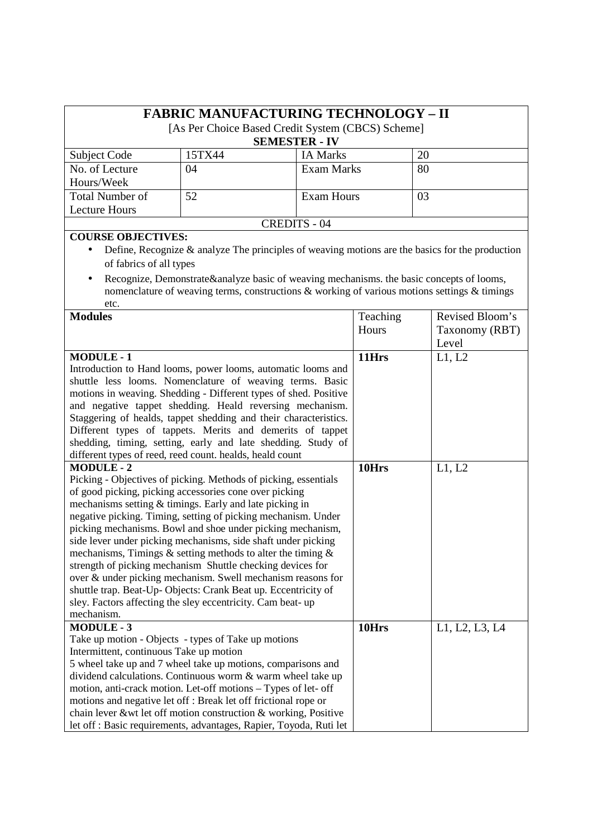| <b>FABRIC MANUFACTURING TECHNOLOGY - II</b><br>[As Per Choice Based Credit System (CBCS) Scheme]<br><b>SEMESTER - IV</b> |        |                 |    |  |
|--------------------------------------------------------------------------------------------------------------------------|--------|-----------------|----|--|
| Subject Code                                                                                                             | 15TX44 | <b>IA Marks</b> | 20 |  |
| No. of Lecture                                                                                                           | 04     | Exam Marks      | 80 |  |
| Hours/Week                                                                                                               |        |                 |    |  |
| <b>Total Number of</b>                                                                                                   | 52     | Exam Hours      | 03 |  |
| <b>Lecture Hours</b>                                                                                                     |        |                 |    |  |
| <b>CREDITS - 04</b>                                                                                                      |        |                 |    |  |
| <b>COURSE OBJECTIVES:</b>                                                                                                |        |                 |    |  |

- Define, Recognize & analyze The principles of weaving motions are the basics for the production of fabrics of all types
- Recognize, Demonstrate&analyze basic of weaving mechanisms. the basic concepts of looms, nomenclature of weaving terms, constructions & working of various motions settings & timings etc.

| <b>Modules</b>                                                     | Teaching | Revised Bloom's |
|--------------------------------------------------------------------|----------|-----------------|
|                                                                    | Hours    | Taxonomy (RBT)  |
|                                                                    |          | Level           |
| <b>MODULE-1</b>                                                    | 11Hrs    | L1, L2          |
| Introduction to Hand looms, power looms, automatic looms and       |          |                 |
| shuttle less looms. Nomenclature of weaving terms. Basic           |          |                 |
| motions in weaving. Shedding - Different types of shed. Positive   |          |                 |
| and negative tappet shedding. Heald reversing mechanism.           |          |                 |
| Staggering of healds, tappet shedding and their characteristics.   |          |                 |
| Different types of tappets. Merits and demerits of tappet          |          |                 |
| shedding, timing, setting, early and late shedding. Study of       |          |                 |
| different types of reed, reed count. healds, heald count           |          |                 |
| <b>MODULE-2</b>                                                    | 10Hrs    | L1, L2          |
| Picking - Objectives of picking. Methods of picking, essentials    |          |                 |
| of good picking, picking accessories cone over picking             |          |                 |
| mechanisms setting & timings. Early and late picking in            |          |                 |
| negative picking. Timing, setting of picking mechanism. Under      |          |                 |
| picking mechanisms. Bowl and shoe under picking mechanism,         |          |                 |
| side lever under picking mechanisms, side shaft under picking      |          |                 |
| mechanisms, Timings $\&$ setting methods to alter the timing $\&$  |          |                 |
| strength of picking mechanism Shuttle checking devices for         |          |                 |
| over & under picking mechanism. Swell mechanism reasons for        |          |                 |
| shuttle trap. Beat-Up-Objects: Crank Beat up. Eccentricity of      |          |                 |
| sley. Factors affecting the sley eccentricity. Cam beat-up         |          |                 |
| mechanism.                                                         |          |                 |
| <b>MODULE-3</b>                                                    | 10Hrs    | L1, L2, L3, L4  |
| Take up motion - Objects - types of Take up motions                |          |                 |
| Intermittent, continuous Take up motion                            |          |                 |
| 5 wheel take up and 7 wheel take up motions, comparisons and       |          |                 |
| dividend calculations. Continuous worm & warm wheel take up        |          |                 |
| motion, anti-crack motion. Let-off motions – Types of let- off     |          |                 |
| motions and negative let off : Break let off frictional rope or    |          |                 |
| chain lever &wt let off motion construction & working, Positive    |          |                 |
| let off : Basic requirements, advantages, Rapier, Toyoda, Ruti let |          |                 |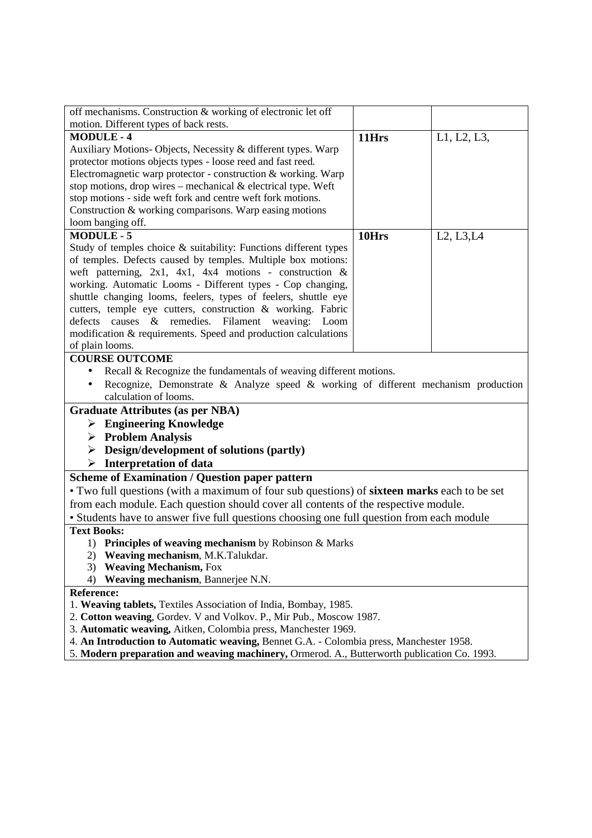| off mechanisms. Construction & working of electronic let off                                |       |             |  |
|---------------------------------------------------------------------------------------------|-------|-------------|--|
| motion. Different types of back rests.                                                      |       |             |  |
| <b>MODULE-4</b>                                                                             | 11Hrs | L1, L2, L3, |  |
| Auxiliary Motions- Objects, Necessity & different types. Warp                               |       |             |  |
| protector motions objects types - loose reed and fast reed.                                 |       |             |  |
| Electromagnetic warp protector - construction & working. Warp                               |       |             |  |
| stop motions, drop wires – mechanical $\&$ electrical type. Weft                            |       |             |  |
| stop motions - side weft fork and centre weft fork motions.                                 |       |             |  |
| Construction & working comparisons. Warp easing motions                                     |       |             |  |
| loom banging off.                                                                           |       |             |  |
| <b>MODULE-5</b>                                                                             | 10Hrs | L2, L3, L4  |  |
| Study of temples choice & suitability: Functions different types                            |       |             |  |
| of temples. Defects caused by temples. Multiple box motions:                                |       |             |  |
| weft patterning, $2x1$ , $4x1$ , $4x4$ motions - construction &                             |       |             |  |
| working. Automatic Looms - Different types - Cop changing,                                  |       |             |  |
| shuttle changing looms, feelers, types of feelers, shuttle eye                              |       |             |  |
| cutters, temple eye cutters, construction & working. Fabric                                 |       |             |  |
| causes & remedies. Filament weaving: Loom<br>defects                                        |       |             |  |
| modification & requirements. Speed and production calculations                              |       |             |  |
| of plain looms.                                                                             |       |             |  |
| <b>COURSE OUTCOME</b>                                                                       |       |             |  |
| Recall & Recognize the fundamentals of weaving different motions.                           |       |             |  |
| Recognize, Demonstrate & Analyze speed & working of different mechanism production          |       |             |  |
| calculation of looms.                                                                       |       |             |  |
| <b>Graduate Attributes (as per NBA)</b>                                                     |       |             |  |
| $\triangleright$ Engineering Knowledge                                                      |       |             |  |
| $\triangleright$ Problem Analysis                                                           |       |             |  |
| $\triangleright$ Design/development of solutions (partly)                                   |       |             |  |
| $\triangleright$ Interpretation of data                                                     |       |             |  |
| <b>Scheme of Examination / Question paper pattern</b>                                       |       |             |  |
| • Two full questions (with a maximum of four sub questions) of sixteen marks each to be set |       |             |  |
| from each module. Each question should cover all contents of the respective module.         |       |             |  |
| • Students have to answer five full questions choosing one full question from each module   |       |             |  |
| <b>Text Books:</b>                                                                          |       |             |  |
| 1) Principles of weaving mechanism by Robinson & Marks                                      |       |             |  |
| Weaving mechanism, M.K.Talukdar.<br>2)                                                      |       |             |  |
| <b>Weaving Mechanism, Fox</b><br>3)                                                         |       |             |  |
| Weaving mechanism, Bannerjee N.N.<br>4)                                                     |       |             |  |
| <b>Reference:</b>                                                                           |       |             |  |
| 1. Weaving tablets, Textiles Association of India, Bombay, 1985.                            |       |             |  |
| 2. Cotton weaving, Gordev. V and Volkov. P., Mir Pub., Moscow 1987.                         |       |             |  |
| 3. Automatic weaving, Aitken, Colombia press, Manchester 1969.                              |       |             |  |
| 4. An Introduction to Automatic weaving, Bennet G.A. - Colombia press, Manchester 1958.     |       |             |  |
| 5. Modern preparation and weaving machinery, Ormerod. A., Butterworth publication Co. 1993. |       |             |  |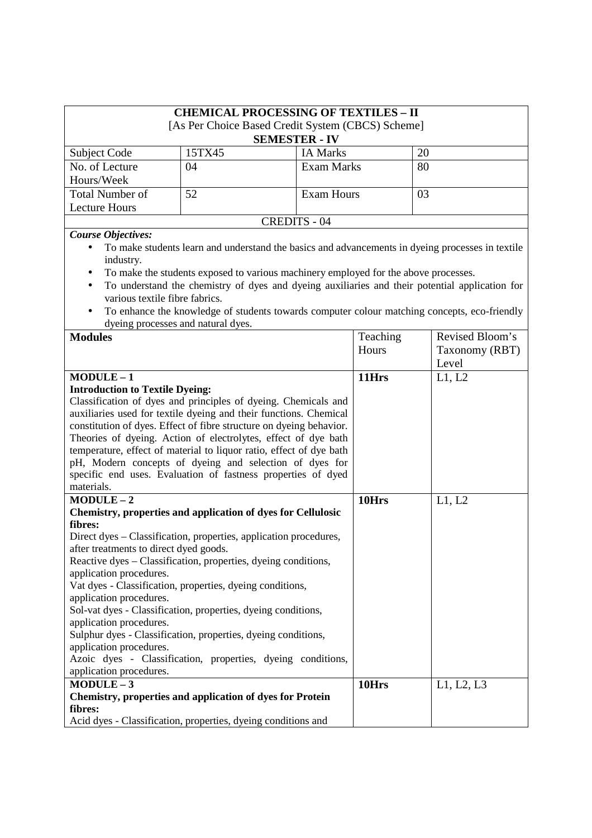|                                                                                                                                                                                                                                                                                                                                                                                                                                                                                                                                                                                               |                                    | <b>CHEMICAL PROCESSING OF TEXTILES - II</b>                                         |          |                                                                                                                                                                                                    |
|-----------------------------------------------------------------------------------------------------------------------------------------------------------------------------------------------------------------------------------------------------------------------------------------------------------------------------------------------------------------------------------------------------------------------------------------------------------------------------------------------------------------------------------------------------------------------------------------------|------------------------------------|-------------------------------------------------------------------------------------|----------|----------------------------------------------------------------------------------------------------------------------------------------------------------------------------------------------------|
|                                                                                                                                                                                                                                                                                                                                                                                                                                                                                                                                                                                               |                                    |                                                                                     |          |                                                                                                                                                                                                    |
|                                                                                                                                                                                                                                                                                                                                                                                                                                                                                                                                                                                               |                                    | [As Per Choice Based Credit System (CBCS) Scheme]                                   |          |                                                                                                                                                                                                    |
|                                                                                                                                                                                                                                                                                                                                                                                                                                                                                                                                                                                               |                                    | <b>SEMESTER - IV</b>                                                                |          |                                                                                                                                                                                                    |
| Subject Code                                                                                                                                                                                                                                                                                                                                                                                                                                                                                                                                                                                  | 15TX45                             | <b>IA Marks</b>                                                                     |          | 20                                                                                                                                                                                                 |
| No. of Lecture                                                                                                                                                                                                                                                                                                                                                                                                                                                                                                                                                                                | 04                                 | <b>Exam Marks</b>                                                                   |          | 80                                                                                                                                                                                                 |
| Hours/Week                                                                                                                                                                                                                                                                                                                                                                                                                                                                                                                                                                                    |                                    |                                                                                     |          |                                                                                                                                                                                                    |
| <b>Total Number of</b>                                                                                                                                                                                                                                                                                                                                                                                                                                                                                                                                                                        | 52                                 | <b>Exam Hours</b>                                                                   |          | 03                                                                                                                                                                                                 |
| <b>Lecture Hours</b>                                                                                                                                                                                                                                                                                                                                                                                                                                                                                                                                                                          |                                    |                                                                                     |          |                                                                                                                                                                                                    |
|                                                                                                                                                                                                                                                                                                                                                                                                                                                                                                                                                                                               |                                    | <b>CREDITS - 04</b>                                                                 |          |                                                                                                                                                                                                    |
| <b>Course Objectives:</b>                                                                                                                                                                                                                                                                                                                                                                                                                                                                                                                                                                     |                                    |                                                                                     |          |                                                                                                                                                                                                    |
| $\bullet$<br>industry.<br>$\bullet$<br>various textile fibre fabrics.                                                                                                                                                                                                                                                                                                                                                                                                                                                                                                                         |                                    | To make the students exposed to various machinery employed for the above processes. |          | To make students learn and understand the basics and advancements in dyeing processes in textile<br>To understand the chemistry of dyes and dyeing auxiliaries and their potential application for |
| $\bullet$                                                                                                                                                                                                                                                                                                                                                                                                                                                                                                                                                                                     |                                    |                                                                                     |          | To enhance the knowledge of students towards computer colour matching concepts, eco-friendly                                                                                                       |
|                                                                                                                                                                                                                                                                                                                                                                                                                                                                                                                                                                                               | dyeing processes and natural dyes. |                                                                                     |          |                                                                                                                                                                                                    |
| <b>Modules</b>                                                                                                                                                                                                                                                                                                                                                                                                                                                                                                                                                                                |                                    |                                                                                     | Teaching | Revised Bloom's                                                                                                                                                                                    |
|                                                                                                                                                                                                                                                                                                                                                                                                                                                                                                                                                                                               |                                    |                                                                                     | Hours    | Taxonomy (RBT)                                                                                                                                                                                     |
|                                                                                                                                                                                                                                                                                                                                                                                                                                                                                                                                                                                               |                                    |                                                                                     |          | Level                                                                                                                                                                                              |
| $MODULE-1$                                                                                                                                                                                                                                                                                                                                                                                                                                                                                                                                                                                    |                                    |                                                                                     | 11Hrs    | L1, L2                                                                                                                                                                                             |
| Classification of dyes and principles of dyeing. Chemicals and<br>auxiliaries used for textile dyeing and their functions. Chemical<br>constitution of dyes. Effect of fibre structure on dyeing behavior.<br>Theories of dyeing. Action of electrolytes, effect of dye bath<br>temperature, effect of material to liquor ratio, effect of dye bath<br>pH, Modern concepts of dyeing and selection of dyes for                                                                                                                                                                                |                                    |                                                                                     |          |                                                                                                                                                                                                    |
| specific end uses. Evaluation of fastness properties of dyed                                                                                                                                                                                                                                                                                                                                                                                                                                                                                                                                  |                                    |                                                                                     |          |                                                                                                                                                                                                    |
| materials.                                                                                                                                                                                                                                                                                                                                                                                                                                                                                                                                                                                    |                                    |                                                                                     |          |                                                                                                                                                                                                    |
| $MODULE-2$                                                                                                                                                                                                                                                                                                                                                                                                                                                                                                                                                                                    |                                    |                                                                                     | 10Hrs    | L1, L2                                                                                                                                                                                             |
| Chemistry, properties and application of dyes for Cellulosic                                                                                                                                                                                                                                                                                                                                                                                                                                                                                                                                  |                                    |                                                                                     |          |                                                                                                                                                                                                    |
| fibres:<br>Direct dyes – Classification, properties, application procedures,<br>after treatments to direct dyed goods.<br>Reactive dyes – Classification, properties, dyeing conditions,<br>application procedures.<br>Vat dyes - Classification, properties, dyeing conditions,<br>application procedures.<br>Sol-vat dyes - Classification, properties, dyeing conditions,<br>application procedures.<br>Sulphur dyes - Classification, properties, dyeing conditions,<br>application procedures.<br>Azoic dyes - Classification, properties, dyeing conditions,<br>application procedures. |                                    |                                                                                     |          |                                                                                                                                                                                                    |
| $MODULE-3$                                                                                                                                                                                                                                                                                                                                                                                                                                                                                                                                                                                    |                                    |                                                                                     | 10Hrs    | L1, L2, L3                                                                                                                                                                                         |
| <b>Chemistry, properties and application of dyes for Protein</b>                                                                                                                                                                                                                                                                                                                                                                                                                                                                                                                              |                                    |                                                                                     |          |                                                                                                                                                                                                    |

**fibres:** 

Acid dyes - Classification, properties, dyeing conditions and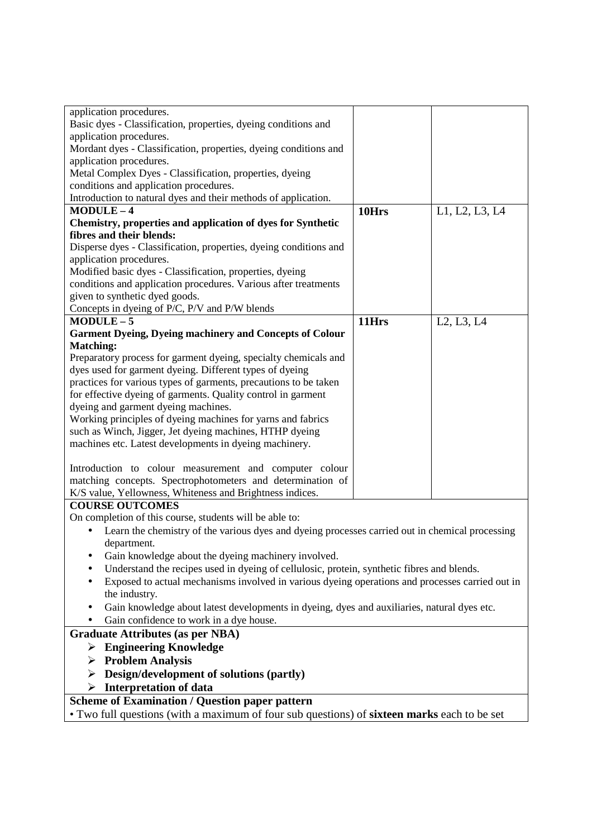| application procedures.                                                                         |       |                |
|-------------------------------------------------------------------------------------------------|-------|----------------|
| Basic dyes - Classification, properties, dyeing conditions and                                  |       |                |
| application procedures.                                                                         |       |                |
| Mordant dyes - Classification, properties, dyeing conditions and                                |       |                |
| application procedures.                                                                         |       |                |
| Metal Complex Dyes - Classification, properties, dyeing                                         |       |                |
| conditions and application procedures.                                                          |       |                |
| Introduction to natural dyes and their methods of application.                                  |       |                |
| $MODULE-4$                                                                                      | 10Hrs | L1, L2, L3, L4 |
| Chemistry, properties and application of dyes for Synthetic                                     |       |                |
| fibres and their blends:                                                                        |       |                |
| Disperse dyes - Classification, properties, dyeing conditions and                               |       |                |
| application procedures.                                                                         |       |                |
| Modified basic dyes - Classification, properties, dyeing                                        |       |                |
| conditions and application procedures. Various after treatments                                 |       |                |
| given to synthetic dyed goods.                                                                  |       |                |
| Concepts in dyeing of P/C, P/V and P/W blends                                                   |       |                |
| $MODULE-5$                                                                                      | 11Hrs | L2, L3, L4     |
| <b>Garment Dyeing, Dyeing machinery and Concepts of Colour</b>                                  |       |                |
| <b>Matching:</b>                                                                                |       |                |
| Preparatory process for garment dyeing, specialty chemicals and                                 |       |                |
| dyes used for garment dyeing. Different types of dyeing                                         |       |                |
| practices for various types of garments, precautions to be taken                                |       |                |
| for effective dyeing of garments. Quality control in garment                                    |       |                |
| dyeing and garment dyeing machines.                                                             |       |                |
| Working principles of dyeing machines for yarns and fabrics                                     |       |                |
| such as Winch, Jigger, Jet dyeing machines, HTHP dyeing                                         |       |                |
| machines etc. Latest developments in dyeing machinery.                                          |       |                |
| Introduction to colour measurement and computer colour                                          |       |                |
| matching concepts. Spectrophotometers and determination of                                      |       |                |
| K/S value, Yellowness, Whiteness and Brightness indices.                                        |       |                |
| <b>COURSE OUTCOMES</b>                                                                          |       |                |
| On completion of this course, students will be able to:                                         |       |                |
| Learn the chemistry of the various dyes and dyeing processes carried out in chemical processing |       |                |
| department.                                                                                     |       |                |
| Gain knowledge about the dyeing machinery involved.                                             |       |                |
| Understand the recipes used in dyeing of cellulosic, protein, synthetic fibres and blends.      |       |                |
| Exposed to actual mechanisms involved in various dyeing operations and processes carried out in |       |                |
| the industry.                                                                                   |       |                |
| Gain knowledge about latest developments in dyeing, dyes and auxiliaries, natural dyes etc.     |       |                |
| Gain confidence to work in a dye house.                                                         |       |                |
| <b>Graduate Attributes (as per NBA)</b>                                                         |       |                |
|                                                                                                 |       |                |
| $\triangleright$ Engineering Knowledge                                                          |       |                |
| <b>Problem Analysis</b><br>➤                                                                    |       |                |
| Design/development of solutions (partly)<br>➤                                                   |       |                |
| <b>Interpretation of data</b><br>➤                                                              |       |                |
| <b>Scheme of Examination / Question paper pattern</b>                                           |       |                |
| • Two full questions (with a maximum of four sub questions) of sixteen marks each to be set     |       |                |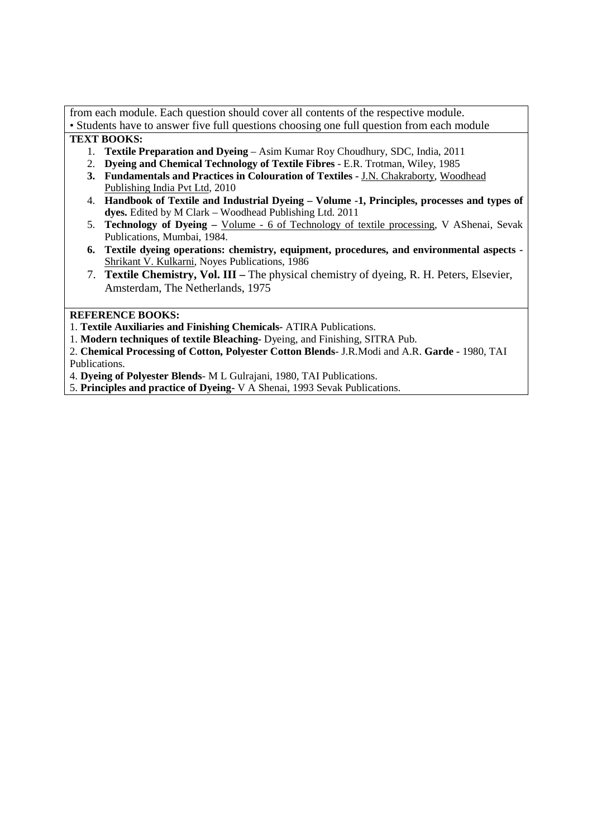from each module. Each question should cover all contents of the respective module. • Students have to answer five full questions choosing one full question from each module

### **TEXT BOOKS:**

- 1. **Textile Preparation and Dyeing** Asim Kumar Roy Choudhury, SDC, India, 2011
- 2. **Dyeing and Chemical Technology of Textile Fibres** E.R. Trotman, Wiley, 1985
- **3. Fundamentals and Practices in Colouration of Textiles** J.N. Chakraborty, Woodhead Publishing India Pvt Ltd, 2010
- 4. **Handbook of Textile and Industrial Dyeing Volume -1, Principles, processes and types of dyes.** Edited by M Clark – Woodhead Publishing Ltd. 2011
- 5. **Technology of Dyeing** Volume 6 of Technology of textile processing, V AShenai, Sevak Publications, Mumbai, 1984.
- **6. Textile dyeing operations: chemistry, equipment, procedures, and environmental aspects -** Shrikant V. Kulkarni, Noyes Publications, 1986
- 7. **Textile Chemistry, Vol. III** The physical chemistry of dyeing, R. H. Peters, Elsevier, Amsterdam, The Netherlands, 1975

### **REFERENCE BOOKS:**

- 1. **Textile Auxiliaries and Finishing Chemicals-** ATIRA Publications.
- 1. **Modern techniques of textile Bleaching-** Dyeing, and Finishing, SITRA Pub.
- 2. **Chemical Processing of Cotton, Polyester Cotton Blends** J.R.Modi and A.R. **Garde** 1980, TAI Publications.
- 4. **Dyeing of Polyester Blends** M L Gulrajani, 1980, TAI Publications.
- 5. **Principles and practice of Dyeing-** V A Shenai, 1993 Sevak Publications.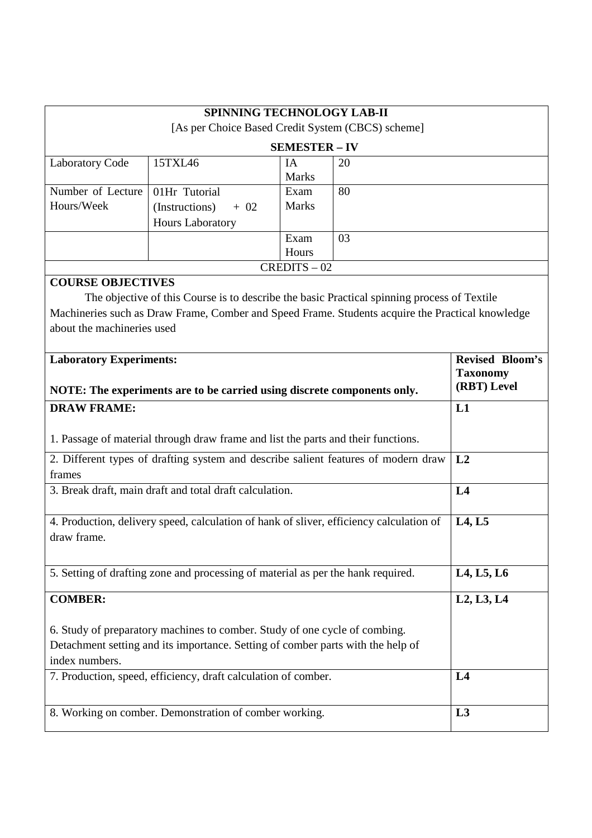| SPINNING TECHNOLOGY LAB-II                                                         |                                                                                                  |                      |    |                                 |  |  |
|------------------------------------------------------------------------------------|--------------------------------------------------------------------------------------------------|----------------------|----|---------------------------------|--|--|
|                                                                                    | [As per Choice Based Credit System (CBCS) scheme]                                                |                      |    |                                 |  |  |
|                                                                                    |                                                                                                  | <b>SEMESTER - IV</b> |    |                                 |  |  |
| <b>Laboratory Code</b>                                                             | 15TXL46                                                                                          | IA                   | 20 |                                 |  |  |
|                                                                                    |                                                                                                  | <b>Marks</b>         |    |                                 |  |  |
| Number of Lecture<br>Hours/Week                                                    | 01Hr Tutorial                                                                                    | Exam<br><b>Marks</b> | 80 |                                 |  |  |
|                                                                                    | (Instructions)<br>$+ 02$                                                                         |                      |    |                                 |  |  |
|                                                                                    | Hours Laboratory                                                                                 |                      |    |                                 |  |  |
|                                                                                    |                                                                                                  | Exam<br>Hours        | 03 |                                 |  |  |
|                                                                                    |                                                                                                  | $CREDITS - 02$       |    |                                 |  |  |
| <b>COURSE OBJECTIVES</b>                                                           |                                                                                                  |                      |    |                                 |  |  |
|                                                                                    | The objective of this Course is to describe the basic Practical spinning process of Textile      |                      |    |                                 |  |  |
|                                                                                    | Machineries such as Draw Frame, Comber and Speed Frame. Students acquire the Practical knowledge |                      |    |                                 |  |  |
| about the machineries used                                                         |                                                                                                  |                      |    |                                 |  |  |
|                                                                                    |                                                                                                  |                      |    |                                 |  |  |
| <b>Laboratory Experiments:</b>                                                     |                                                                                                  |                      |    | <b>Revised Bloom's</b>          |  |  |
|                                                                                    |                                                                                                  |                      |    | <b>Taxonomy</b>                 |  |  |
|                                                                                    | NOTE: The experiments are to be carried using discrete components only.                          |                      |    | (RBT) Level                     |  |  |
| <b>DRAW FRAME:</b>                                                                 |                                                                                                  |                      |    | L1                              |  |  |
|                                                                                    |                                                                                                  |                      |    |                                 |  |  |
| 1. Passage of material through draw frame and list the parts and their functions.  |                                                                                                  |                      |    |                                 |  |  |
| 2. Different types of drafting system and describe salient features of modern draw | L2                                                                                               |                      |    |                                 |  |  |
| frames                                                                             |                                                                                                  |                      |    |                                 |  |  |
| 3. Break draft, main draft and total draft calculation.                            | L4                                                                                               |                      |    |                                 |  |  |
|                                                                                    |                                                                                                  |                      |    |                                 |  |  |
|                                                                                    | 4. Production, delivery speed, calculation of hank of sliver, efficiency calculation of          |                      |    | L <sub>4</sub> , L <sub>5</sub> |  |  |
| draw frame.                                                                        |                                                                                                  |                      |    |                                 |  |  |
|                                                                                    |                                                                                                  |                      |    |                                 |  |  |
| 5. Setting of drafting zone and processing of material as per the hank required.   |                                                                                                  |                      |    | L4, L5, L6                      |  |  |
|                                                                                    |                                                                                                  |                      |    |                                 |  |  |
| <b>COMBER:</b>                                                                     |                                                                                                  |                      |    | L2, L3, L4                      |  |  |
| 6. Study of preparatory machines to comber. Study of one cycle of combing.         |                                                                                                  |                      |    |                                 |  |  |
|                                                                                    |                                                                                                  |                      |    |                                 |  |  |
| Detachment setting and its importance. Setting of comber parts with the help of    |                                                                                                  |                      |    |                                 |  |  |
| index numbers.<br>7. Production, speed, efficiency, draft calculation of comber.   |                                                                                                  |                      |    |                                 |  |  |
|                                                                                    | L4                                                                                               |                      |    |                                 |  |  |
|                                                                                    |                                                                                                  |                      |    |                                 |  |  |
|                                                                                    | 8. Working on comber. Demonstration of comber working.                                           |                      |    | L3                              |  |  |
|                                                                                    |                                                                                                  |                      |    |                                 |  |  |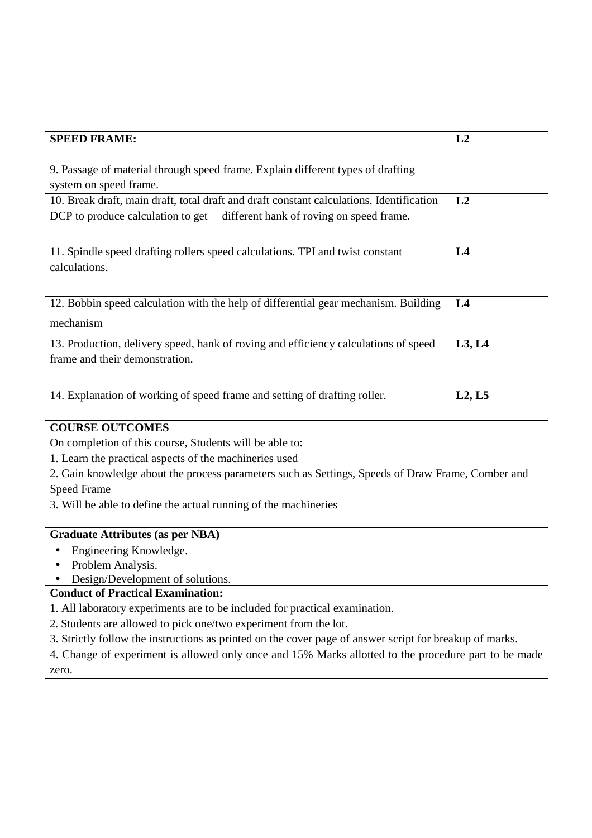| <b>SPEED FRAME:</b>                                                                                                                                                    | L2             |  |  |
|------------------------------------------------------------------------------------------------------------------------------------------------------------------------|----------------|--|--|
| 9. Passage of material through speed frame. Explain different types of drafting<br>system on speed frame.                                                              |                |  |  |
| 10. Break draft, main draft, total draft and draft constant calculations. Identification<br>DCP to produce calculation to get different hank of roving on speed frame. | L2             |  |  |
| 11. Spindle speed drafting rollers speed calculations. TPI and twist constant<br>calculations.                                                                         | L4             |  |  |
| 12. Bobbin speed calculation with the help of differential gear mechanism. Building<br>mechanism                                                                       | L <sub>4</sub> |  |  |
| 13. Production, delivery speed, hank of roving and efficiency calculations of speed<br>frame and their demonstration.                                                  | L3, L4         |  |  |
| 14. Explanation of working of speed frame and setting of drafting roller.                                                                                              | L2, L5         |  |  |
| <b>COURSE OUTCOMES</b>                                                                                                                                                 |                |  |  |
| On completion of this course, Students will be able to:                                                                                                                |                |  |  |
| 1. Learn the practical aspects of the machineries used                                                                                                                 |                |  |  |
| 2. Gain knowledge about the process parameters such as Settings, Speeds of Draw Frame, Comber and<br><b>Speed Frame</b>                                                |                |  |  |
| 3. Will be able to define the actual running of the machineries                                                                                                        |                |  |  |
| <b>Graduate Attributes (as per NBA)</b>                                                                                                                                |                |  |  |
| Engineering Knowledge.<br>Problem Analysis.<br>Design/Development of solutions.                                                                                        |                |  |  |
| <b>Conduct of Practical Examination:</b>                                                                                                                               |                |  |  |
| 1. All laboratory experiments are to be included for practical examination.                                                                                            |                |  |  |
| 2. Students are allowed to pick one/two experiment from the lot.                                                                                                       |                |  |  |
| 3. Strictly follow the instructions as printed on the cover page of answer script for breakup of marks.                                                                |                |  |  |
| 4. Change of experiment is allowed only once and 15% Marks allotted to the procedure part to be made                                                                   |                |  |  |
| zero.                                                                                                                                                                  |                |  |  |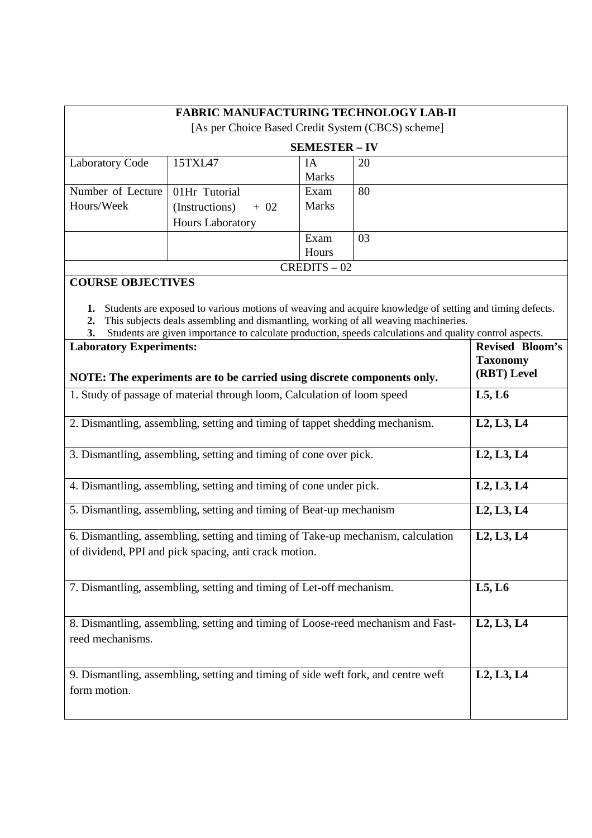| <b>FABRIC MANUFACTURING TECHNOLOGY LAB-II</b><br>[As per Choice Based Credit System (CBCS) scheme] |                         |              |    |  |  |
|----------------------------------------------------------------------------------------------------|-------------------------|--------------|----|--|--|
|                                                                                                    | <b>SEMESTER – IV</b>    |              |    |  |  |
| <b>Laboratory Code</b>                                                                             | 15TXL47                 | IA           | 20 |  |  |
|                                                                                                    |                         | <b>Marks</b> |    |  |  |
| Number of Lecture                                                                                  | 01Hr Tutorial           | Exam         | 80 |  |  |
| Hours/Week                                                                                         | (Instructions)<br>$+02$ | <b>Marks</b> |    |  |  |
|                                                                                                    | <b>Hours Laboratory</b> |              |    |  |  |
|                                                                                                    |                         | Exam         | 03 |  |  |
|                                                                                                    |                         | Hours        |    |  |  |
| $CREDITS - 02$                                                                                     |                         |              |    |  |  |

# **COURSE OBJECTIVES**

**1.** Students are exposed to various motions of weaving and acquire knowledge of setting and timing defects.

**2.** This subjects deals assembling and dismantling, working of all weaving machineries.

|  |  |  |  |  |  |  | 3. Students are given importance to calculate production, speeds calculations and quality control aspects. |  |  |  |
|--|--|--|--|--|--|--|------------------------------------------------------------------------------------------------------------|--|--|--|
|--|--|--|--|--|--|--|------------------------------------------------------------------------------------------------------------|--|--|--|

| <b>Laboratory Experiments:</b><br>NOTE: The experiments are to be carried using discrete components only.                                 | <b>Revised Bloom's</b><br><b>Taxonomy</b><br>(RBT) Level |
|-------------------------------------------------------------------------------------------------------------------------------------------|----------------------------------------------------------|
| 1. Study of passage of material through loom, Calculation of loom speed                                                                   | L5, L6                                                   |
| 2. Dismantling, assembling, setting and timing of tappet shedding mechanism.                                                              | L <sub>2</sub> , L <sub>3</sub> , L <sub>4</sub>         |
| 3. Dismantling, assembling, setting and timing of cone over pick.                                                                         | L2, L3, L4                                               |
| 4. Dismantling, assembling, setting and timing of cone under pick.                                                                        | L <sub>2</sub> , L <sub>3</sub> , L <sub>4</sub>         |
| 5. Dismantling, assembling, setting and timing of Beat-up mechanism                                                                       | L2, L3, L4                                               |
| 6. Dismantling, assembling, setting and timing of Take-up mechanism, calculation<br>of dividend, PPI and pick spacing, anti crack motion. | L <sub>2</sub> , L <sub>3</sub> , L <sub>4</sub>         |
| 7. Dismantling, assembling, setting and timing of Let-off mechanism.                                                                      | L5, L6                                                   |
| 8. Dismantling, assembling, setting and timing of Loose-reed mechanism and Fast-<br>reed mechanisms.                                      | L2, L3, L4                                               |
| 9. Dismantling, assembling, setting and timing of side weft fork, and centre weft<br>form motion.                                         | L <sub>2</sub> , L <sub>3</sub> , L <sub>4</sub>         |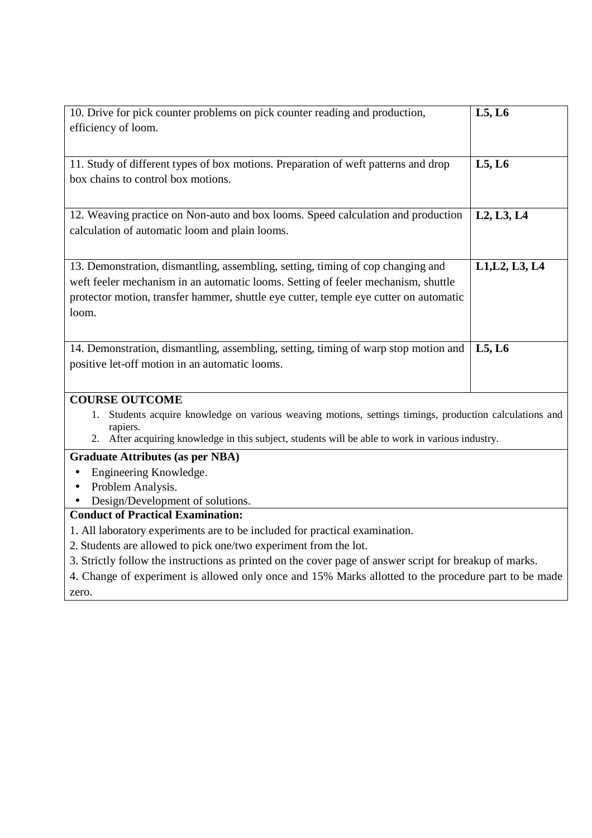| 10. Drive for pick counter problems on pick counter reading and production,                                | L5, L6                                           |  |  |
|------------------------------------------------------------------------------------------------------------|--------------------------------------------------|--|--|
| efficiency of loom.                                                                                        |                                                  |  |  |
|                                                                                                            |                                                  |  |  |
| 11. Study of different types of box motions. Preparation of weft patterns and drop                         | L5, L6                                           |  |  |
| box chains to control box motions.                                                                         |                                                  |  |  |
|                                                                                                            |                                                  |  |  |
| 12. Weaving practice on Non-auto and box looms. Speed calculation and production                           | L <sub>2</sub> , L <sub>3</sub> , L <sub>4</sub> |  |  |
| calculation of automatic loom and plain looms.                                                             |                                                  |  |  |
|                                                                                                            |                                                  |  |  |
| 13. Demonstration, dismantling, assembling, setting, timing of cop changing and                            | L1, L2, L3, L4                                   |  |  |
| weft feeler mechanism in an automatic looms. Setting of feeler mechanism, shuttle                          |                                                  |  |  |
| protector motion, transfer hammer, shuttle eye cutter, temple eye cutter on automatic                      |                                                  |  |  |
| loom.                                                                                                      |                                                  |  |  |
|                                                                                                            |                                                  |  |  |
| 14. Demonstration, dismantling, assembling, setting, timing of warp stop motion and                        | L5, L6                                           |  |  |
| positive let-off motion in an automatic looms.                                                             |                                                  |  |  |
|                                                                                                            |                                                  |  |  |
| <b>COURSE OUTCOME</b>                                                                                      |                                                  |  |  |
| Students acquire knowledge on various weaving motions, settings timings, production calculations and<br>1. |                                                  |  |  |
| rapiers.                                                                                                   |                                                  |  |  |
| 2. After acquiring knowledge in this subject, students will be able to work in various industry.           |                                                  |  |  |
| <b>Graduate Attributes (as per NBA)</b>                                                                    |                                                  |  |  |
| Engineering Knowledge.<br>$\bullet$                                                                        |                                                  |  |  |
| Problem Analysis.<br>$\bullet$                                                                             |                                                  |  |  |
| Design/Development of solutions.<br><b>Conduct of Practical Examination:</b>                               |                                                  |  |  |
| 1. All laboratory experiments are to be included for practical examination.                                |                                                  |  |  |
|                                                                                                            |                                                  |  |  |
| 2. Students are allowed to pick one/two experiment from the lot.                                           |                                                  |  |  |

4. Change of experiment is allowed only once and 15% Marks allotted to the procedure part to be made zero.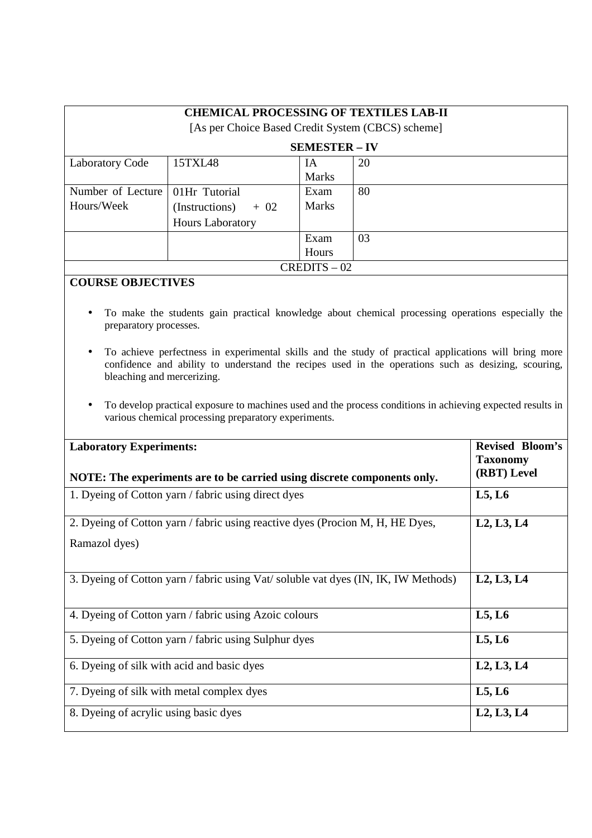| <b>CHEMICAL PROCESSING OF TEXTILES LAB-II</b><br>[As per Choice Based Credit System (CBCS) scheme] |                         |              |    |  |  |
|----------------------------------------------------------------------------------------------------|-------------------------|--------------|----|--|--|
|                                                                                                    | <b>SEMESTER – IV</b>    |              |    |  |  |
| <b>Laboratory Code</b>                                                                             | 15TXL48                 | IA           | 20 |  |  |
|                                                                                                    |                         | <b>Marks</b> |    |  |  |
| Number of Lecture                                                                                  | 01Hr Tutorial           | Exam         | 80 |  |  |
| Hours/Week                                                                                         | $(Instructions) + 02$   | <b>Marks</b> |    |  |  |
|                                                                                                    | <b>Hours Laboratory</b> |              |    |  |  |
|                                                                                                    |                         | Exam         | 03 |  |  |
|                                                                                                    |                         | Hours        |    |  |  |
| $CREDITS - 02$                                                                                     |                         |              |    |  |  |

## **COURSE OBJECTIVES**

- To make the students gain practical knowledge about chemical processing operations especially the preparatory processes.
- To achieve perfectness in experimental skills and the study of practical applications will bring more confidence and ability to understand the recipes used in the operations such as desizing, scouring, bleaching and mercerizing.
- To develop practical exposure to machines used and the process conditions in achieving expected results in various chemical processing preparatory experiments.

| <b>Laboratory Experiments:</b><br>NOTE: The experiments are to be carried using discrete components only. | <b>Revised Bloom's</b><br><b>Taxonomy</b><br>(RBT) Level |
|-----------------------------------------------------------------------------------------------------------|----------------------------------------------------------|
| 1. Dyeing of Cotton yarn / fabric using direct dyes                                                       | L5, L6                                                   |
| 2. Dyeing of Cotton yarn / fabric using reactive dyes (Procion M, H, HE Dyes,<br>Ramazol dyes)            | L2, L3, L4                                               |
| 3. Dyeing of Cotton yarn / fabric using Vat/ soluble vat dyes (IN, IK, IW Methods)                        | L2, L3, L4                                               |
| 4. Dyeing of Cotton yarn / fabric using Azoic colours                                                     | L5, L6                                                   |
| 5. Dyeing of Cotton yarn / fabric using Sulphur dyes                                                      | L5, L6                                                   |
| 6. Dyeing of silk with acid and basic dyes                                                                | L2, L3, L4                                               |
| 7. Dyeing of silk with metal complex dyes                                                                 | L5, L6                                                   |
| 8. Dyeing of acrylic using basic dyes                                                                     | L2, L3, L4                                               |